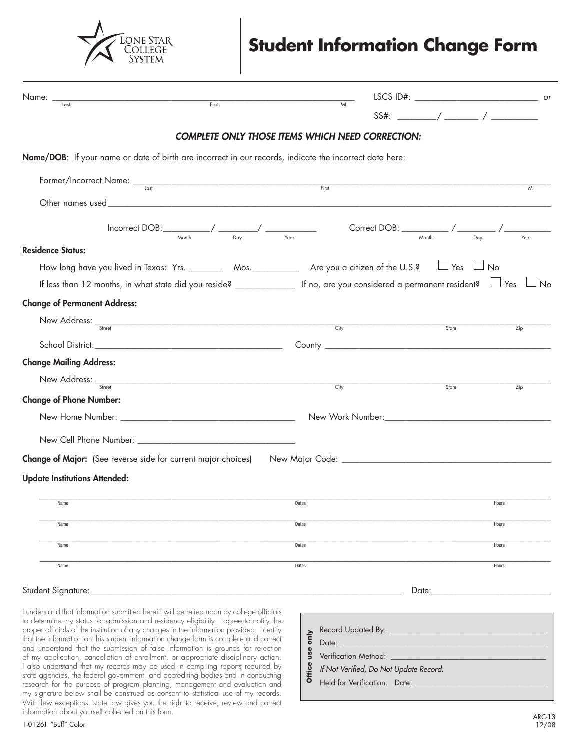

# **Student Information Change Form**

| Name: _<br><b>First</b>                                                                                                           |                                                                                                                                                                                                                                                                                                                                                                                                                                                                                              |       |       |
|-----------------------------------------------------------------------------------------------------------------------------------|----------------------------------------------------------------------------------------------------------------------------------------------------------------------------------------------------------------------------------------------------------------------------------------------------------------------------------------------------------------------------------------------------------------------------------------------------------------------------------------------|-------|-------|
|                                                                                                                                   |                                                                                                                                                                                                                                                                                                                                                                                                                                                                                              |       |       |
|                                                                                                                                   | <b>COMPLETE ONLY THOSE ITEMS WHICH NEED CORRECTION:</b>                                                                                                                                                                                                                                                                                                                                                                                                                                      |       |       |
| Name/DOB: If your name or date of birth are incorrect in our records, indicate the incorrect data here:                           |                                                                                                                                                                                                                                                                                                                                                                                                                                                                                              |       |       |
| Former/Incorrect Name: <u>Last Last Communication</u>                                                                             |                                                                                                                                                                                                                                                                                                                                                                                                                                                                                              |       | MI    |
|                                                                                                                                   |                                                                                                                                                                                                                                                                                                                                                                                                                                                                                              |       |       |
|                                                                                                                                   | $\begin{array}{c c c c c c c c} \hline \text{Incorrect DOB:} & \begin{array}{c c c} & \text{As} & \text{Conject DOB:} & \text{Conject DOB:} \end{array} & \begin{array}{c c c} \hline \text{Conrect DOB:} & \begin{array}{c c} & \text{Conject DOB:} & \text{Conject DOB:} \end{array} & \begin{array}{c} \hline \text{Conject DOB:} & \begin{array}{c} \hline \text{Nonth} & \text{Conject DOB:} \end{array} & \begin{array}{c} \hline \text{Conject DOB:} & \begin{array}{c} \hline \text$ |       | Year  |
| <b>Residence Status:</b>                                                                                                          |                                                                                                                                                                                                                                                                                                                                                                                                                                                                                              |       |       |
| How long have you lived in Texas: Yrs. __________ Mos. _____________ Are you a citizen of the U.S.? $\Box$ Yes $\Box$ No          |                                                                                                                                                                                                                                                                                                                                                                                                                                                                                              |       |       |
| If less than 12 months, in what state did you reside? $\Box$ If no, are you considered a permanent resident? $\Box$ Yes $\Box$ No |                                                                                                                                                                                                                                                                                                                                                                                                                                                                                              |       |       |
| <b>Change of Permanent Address:</b>                                                                                               |                                                                                                                                                                                                                                                                                                                                                                                                                                                                                              |       |       |
| New Address: <sub>Street</sub> City <b>City</b>                                                                                   |                                                                                                                                                                                                                                                                                                                                                                                                                                                                                              | State | Zip   |
|                                                                                                                                   |                                                                                                                                                                                                                                                                                                                                                                                                                                                                                              |       |       |
| <b>Change Mailing Address:</b>                                                                                                    |                                                                                                                                                                                                                                                                                                                                                                                                                                                                                              |       |       |
| New Address: $SStret$ and $SStret$ and $SStret$ and $SStert$ and $SStert$                                                         |                                                                                                                                                                                                                                                                                                                                                                                                                                                                                              |       |       |
| <b>Change of Phone Number:</b>                                                                                                    |                                                                                                                                                                                                                                                                                                                                                                                                                                                                                              | State | Zip   |
|                                                                                                                                   |                                                                                                                                                                                                                                                                                                                                                                                                                                                                                              |       |       |
|                                                                                                                                   |                                                                                                                                                                                                                                                                                                                                                                                                                                                                                              |       |       |
|                                                                                                                                   |                                                                                                                                                                                                                                                                                                                                                                                                                                                                                              |       |       |
|                                                                                                                                   |                                                                                                                                                                                                                                                                                                                                                                                                                                                                                              |       |       |
| <b>Update Institutions Attended:</b>                                                                                              |                                                                                                                                                                                                                                                                                                                                                                                                                                                                                              |       |       |
| Name                                                                                                                              | Dates                                                                                                                                                                                                                                                                                                                                                                                                                                                                                        |       | Hours |
| Name                                                                                                                              | Dates                                                                                                                                                                                                                                                                                                                                                                                                                                                                                        |       | Hours |
| Name                                                                                                                              | Dates                                                                                                                                                                                                                                                                                                                                                                                                                                                                                        |       | Hours |
|                                                                                                                                   | Dates                                                                                                                                                                                                                                                                                                                                                                                                                                                                                        |       | Hours |
| Name                                                                                                                              |                                                                                                                                                                                                                                                                                                                                                                                                                                                                                              |       |       |
| Student Signature:                                                                                                                |                                                                                                                                                                                                                                                                                                                                                                                                                                                                                              | Date: |       |

I understand that information submitted herein will be relied upon by college officials to determine my status for admission and residency eligibility. I agree to notify the proper officials of the institution of any changes in the information provided. I certify that the information on this student information change form is complete and correct and understand that the submission of false information is grounds for rejection of my application, cancellation of enrollment, or appropriate disciplinary action. I also understand that my records may be used in compiling reports required by state agencies, the federal government, and accrediting bodies and in conducting research for the purpose of program planning, management and evaluation and my signature below shall be construed as consent to statistical use of my records. With few exceptions, state law gives you the right to receive, review and correct information about yourself collected on this form.